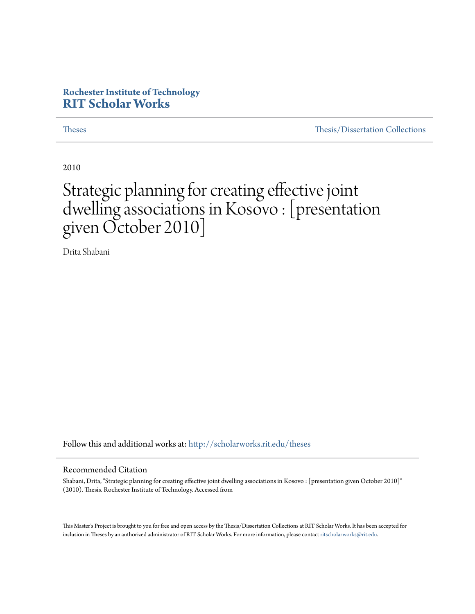#### **Rochester Institute of Technology [RIT Scholar Works](http://scholarworks.rit.edu?utm_source=scholarworks.rit.edu%2Ftheses%2F6946&utm_medium=PDF&utm_campaign=PDFCoverPages)**

[Theses](http://scholarworks.rit.edu/theses?utm_source=scholarworks.rit.edu%2Ftheses%2F6946&utm_medium=PDF&utm_campaign=PDFCoverPages) [Thesis/Dissertation Collections](http://scholarworks.rit.edu/etd_collections?utm_source=scholarworks.rit.edu%2Ftheses%2F6946&utm_medium=PDF&utm_campaign=PDFCoverPages)

2010

#### Strategic planning for creating effective joint dwelling associations in Kosovo : [presentation given October 2010]

Drita Shabani

Follow this and additional works at: [http://scholarworks.rit.edu/theses](http://scholarworks.rit.edu/theses?utm_source=scholarworks.rit.edu%2Ftheses%2F6946&utm_medium=PDF&utm_campaign=PDFCoverPages)

#### Recommended Citation

Shabani, Drita, "Strategic planning for creating effective joint dwelling associations in Kosovo : [presentation given October 2010]" (2010). Thesis. Rochester Institute of Technology. Accessed from

This Master's Project is brought to you for free and open access by the Thesis/Dissertation Collections at RIT Scholar Works. It has been accepted for inclusion in Theses by an authorized administrator of RIT Scholar Works. For more information, please contact [ritscholarworks@rit.edu](mailto:ritscholarworks@rit.edu).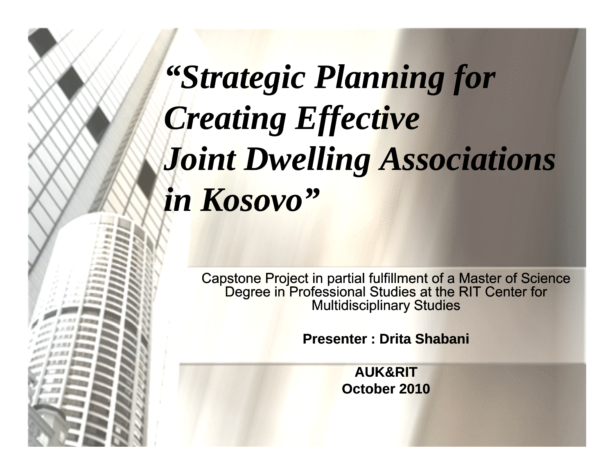# *"Strategic Planning for Strategic Creating Effective Joi lli A i i int Dwelling Associations in Kosovo" Kosovo*

Capstone Project in partial fulfillment of a Master of Science Degree in Professional Studies at the RIT Center for Multidisciplinary Studies

**Presenter : Drita Shabani**

**AUK&RITOctober 2010**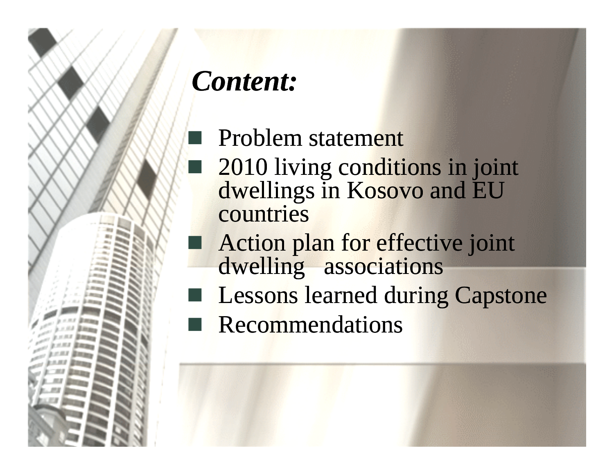# *Content:*

 Problem statement 2010 living conditions in joint dwellings in Kosovo and EU countries  $\Box$ Action plan for effective joint dwelling associations Lessons learned during Capstone Recommendations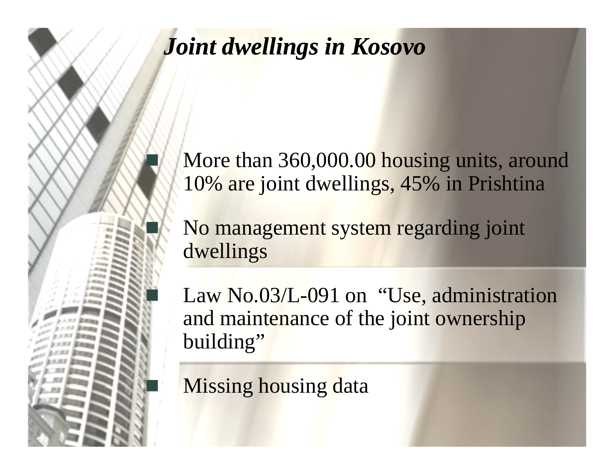#### *Joint dwellings in Kosovo*

e<br>S

 $\mathbb{R}^2$ 

More than 360,000.00 housing units, around 10% are joint dwellings, 45% in Prishtina

 No management system regarding joint dwellings

Law No.03/L-091 on "Use, administration and maintenance of the joint ownership building"

**Missing housing data**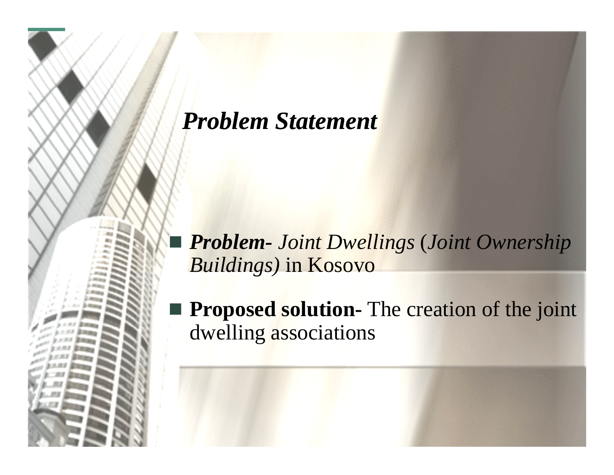#### *Problem Statement*

pin<br>Lihat

 *Problem- Joint Dwellings*  (*Joint Ownership Buildings)* in Kosovo

 $\mathbb{R}^2$  **Proposed solution-** The creation of the joint dwelling associations

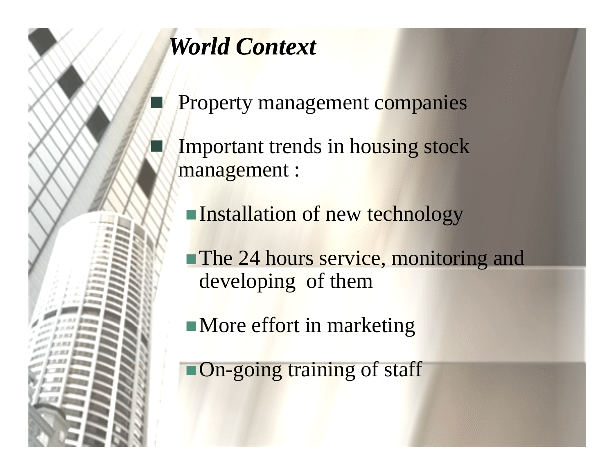

## *World Context*

Property management companies

 Important trends in housing stock management :

Installation of new technology

**The 24 hours service, monitoring and** developing of them

 $\blacksquare$  More effort in marketing

**On-going training of staff**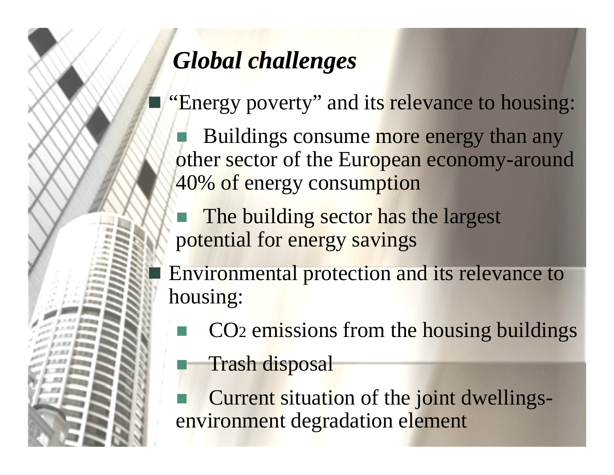## *Global challenges*

"Energy poverty" and its relevance to housing:

 $\blacksquare$  Buildings consume more energy than any other sector of the European economy-around 40% of energy consumption

The building sector has the largest potential for energy savings

**Environmental protection and its relevance to** housing:

- **EXECU** CO<sub>2</sub> emissions from the housing buildings
- Trash disposal

 Current situation of the joint dwellingsenvironment degradation element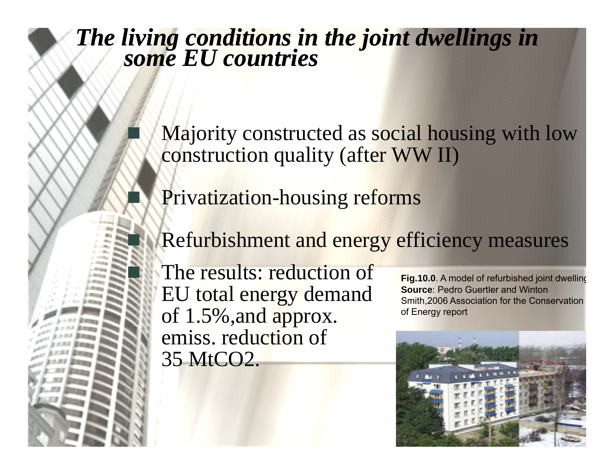#### **The some EU countries and in the space of community space of the space of the space of the space of the space of the space of the space of the space of the space of the space of the space of the space of the space of the** *The living conditions in the joint dwellings in*<br> *some EU countries*

 Majority constructed as social housing with low construction quality (after WW II)

**Privatization-housing reforms** 

**equipments**

 $\mathbb{R}^2$ 

F

Refurbishment and energy efficiency measures

 $\blacksquare$  The results: reduction of EU total energy demand  $of 1.5\%$ , and approx.  $of$  Fenergy report emiss. reduction of 35 MtCO2.

**Fig.10.0**. A model of refurbished joint dwellin g **Source**: Pedro Guertler and Winton Smith,2006 Association for the Conservation

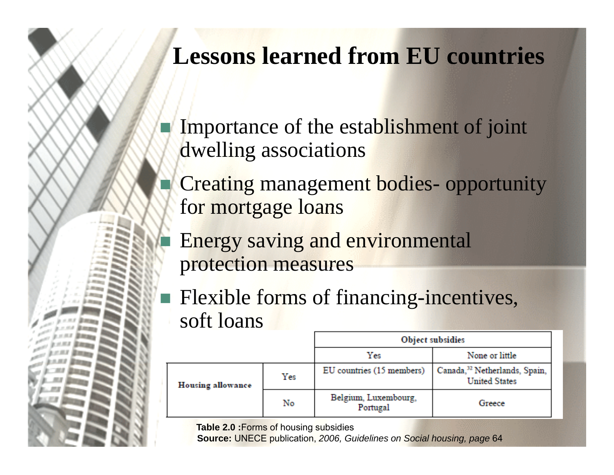#### **Lessons learned from EU countries**

- Importance of the establishment of joint dwelling associations
- e<br>S Creating management bodies- opportunity for mortgage loans
	- Energy saving and environmental protection measures
- Flexible forms of financing-incentives, soft loans

|                          |     | <b>Object subsidies</b>          |                                                                   |  |  |  |  |  |
|--------------------------|-----|----------------------------------|-------------------------------------------------------------------|--|--|--|--|--|
|                          |     | Yes                              | None or little                                                    |  |  |  |  |  |
| <b>Housing allowance</b> | Yes | EU countries (15 members)        | Canada, <sup>32</sup> Netherlands, Spain,<br><b>United States</b> |  |  |  |  |  |
|                          | No  | Belgium, Luxembourg,<br>Portugal | Greece                                                            |  |  |  |  |  |

**Table 2.0 :**Forms of housing subsidies

er<br>S

**Source:** UNECE publication, *2006, Guidelines on Social housing, page* 64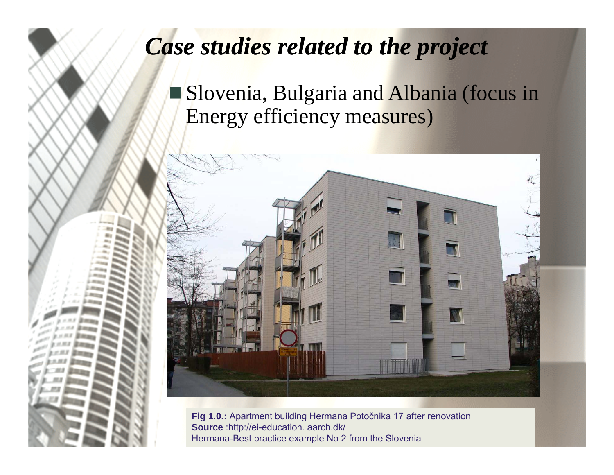#### *Case studies related to the project*

**Slovenia, Bulgaria and Albania (focus in** Energy efficiency measures)



**Fig 1.0.:** Apartment building Hermana Poto čnika 17 after renovation **Source** :http://ei-education. aarch.dk/ Hermana-Best practice example No 2 from the Slovenia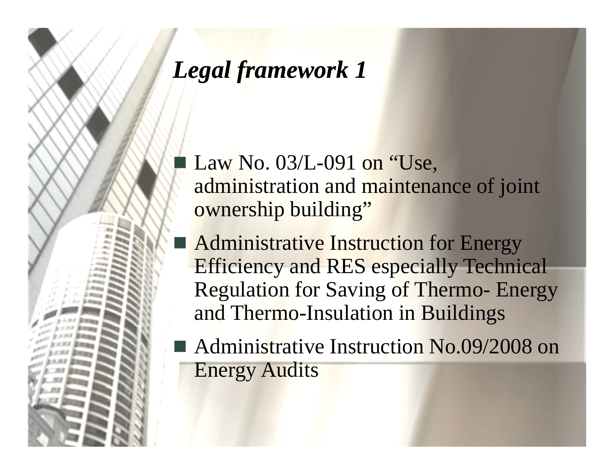#### *Legal framework 1*

 $\blacksquare$  Law No. 03/L-091 on "Use, administration and maintenance of joint ownership building"

**Administrative Instruction for Energy** Efficiency and RES especially Technical Regulation for Saving of Thermo- Energy and Thermo-Insulation in Buildings

■ Administrative Instruction No.09/2008 on Energy Audits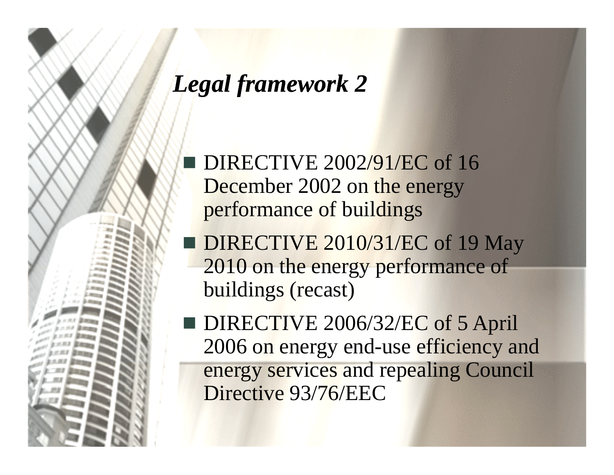#### *Legal framework 2*

 $\blacksquare$  DIRECTIVE 2002/91/EC of 16 December 2002 on the energy performance of buildings

DIRECTIVE 2010/31/EC of 19 May 2010 on the energy performance of buildings (recast)

 $\blacksquare$  DIRECTIVE 2006/32/EC of 5 April 2006 on energy end-use efficiency and energy services and repealing Council Directive 93/76/EEC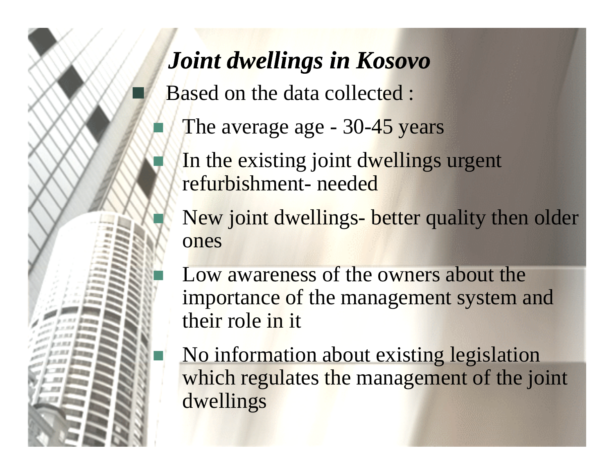#### *Joint dwellings in Kosovo*

 $\blacksquare$  Based on the data collected :

F

T.

T

- The average age 30-45 years
- In the existing joint dwellings urgent refurbishment- needed

New joint dwellings- better quality then older ones

**EXECUTE:** Low awareness of the owners about the importance of the management system and their role in it

 No information about existing legislation which regulates the management of the joint dwellings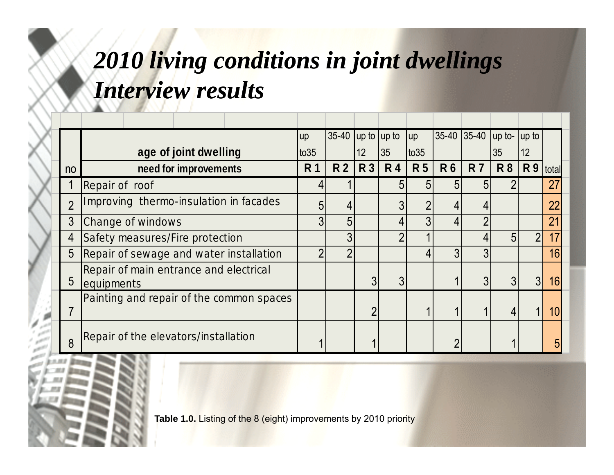## *2010 living conditions in joint dwellings Interview results*

|                |                                                      | <b>up</b> | $35-40$ up to up to |                |                | <b>up</b>      |           | 35-40 35-40 up to- up to |           |                 |       |
|----------------|------------------------------------------------------|-----------|---------------------|----------------|----------------|----------------|-----------|--------------------------|-----------|-----------------|-------|
|                | age of joint dwelling                                | to 35     |                     | 12             | 35             | $\times$       |           |                          | 35        | 12 <sup>°</sup> |       |
| n <sub>o</sub> | need for improvements                                |           | <b>R2</b>           | <b>R3</b>      | <b>R4</b>      | <b>R5</b>      | <b>R6</b> | <b>R7</b>                | <b>R8</b> | <b>R9</b>       | total |
|                | Repair of roof                                       |           |                     |                | 5              | 5              | 5         | 5                        |           |                 | 27    |
| $\overline{2}$ | Improving thermo-insulation in facades               |           |                     |                | 3              | $\overline{2}$ |           |                          |           |                 | 22    |
| 3              | Change of windows                                    |           | 5                   |                | 4              | 3              | 4         | $\overline{2}$           |           |                 | 21    |
| 4              | Safety measures/Fire protection                      |           | 3                   |                | $\overline{2}$ |                |           |                          | 5         |                 |       |
| 5              | Repair of sewage and water installation              |           | $\mathcal{P}$       |                |                |                | 3         | 3                        |           |                 | 16    |
| 5              | Repair of main entrance and electrical<br>equipments |           |                     | 3              | 3              |                |           | 3 <sup>l</sup>           | 3         | 3 <sup>l</sup>  | 16    |
|                | Painting and repair of the common spaces             |           |                     | $\overline{2}$ |                |                |           |                          |           |                 | 10    |
| 8              | Repair of the elevators/installation                 |           |                     |                |                |                |           |                          |           |                 |       |

**Table 1.0.** Listing of the 8 (eight) improvements by 2010 priority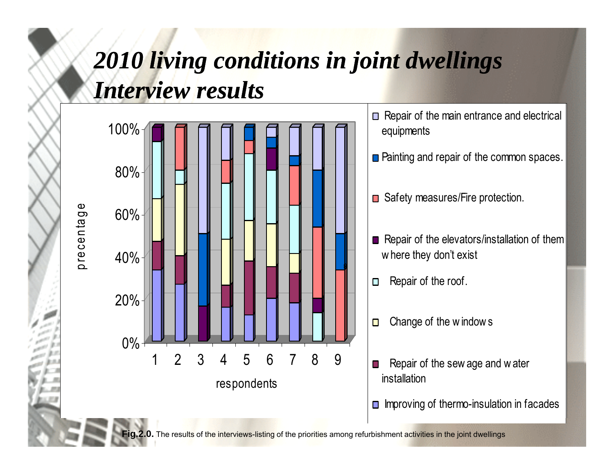#### *2010 living conditions in joint dwellings Interview results*



**Fig.2.0.** The results of the interviews-listing of the priorities among refurbishment activities in the joint dwellings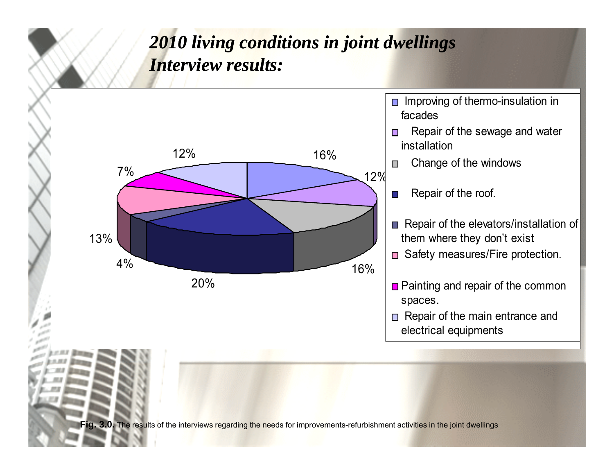#### *2010 living conditions in joint dwellings Interview results:*

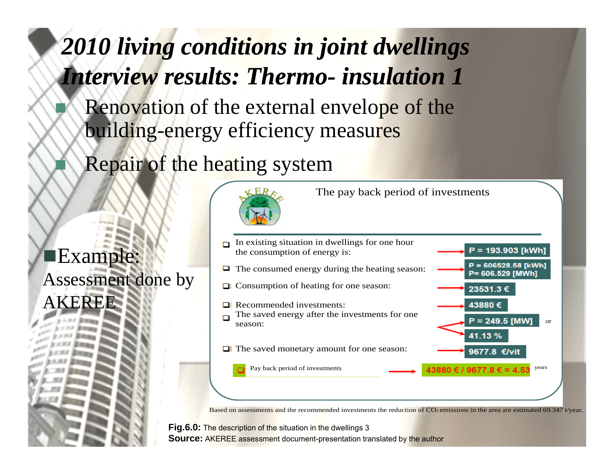### *2010 living conditions in joint dwellings Interview results: Thermo- insulation 1*

- Renovation of the external envelope of the building-energy efficiency measures
- Repair of the heating system

 $\blacksquare$ Exam Assessment done by AKEREE



The pay back period of investments



Based on assessments and the recommended investments the reduction of CO<sub>2</sub> emissions in the area are estimated 69.347 t/year.

**Fig.6.0:** The description of the situation in the dwellings 3 **Source:** AKEREE assessment document-presentation translated by the author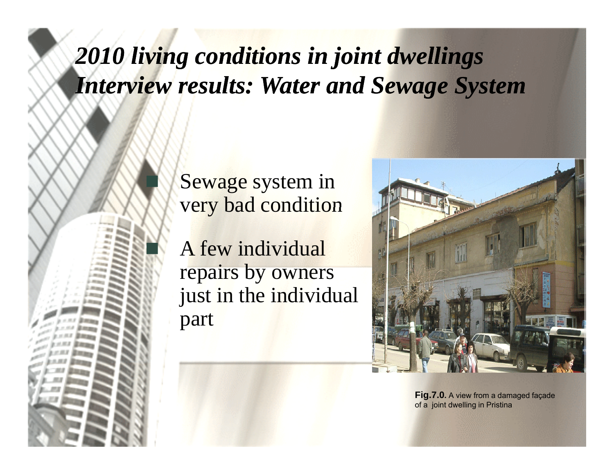*2010 living conditions in joint dwellings Interview results: Water and Sewage System*

> Sewage system in very bad condition

F

 A few individual repairs by owners just in the individual part



**Fig.7.0.** A view from a damaged façade of a joint dwelling in Pristina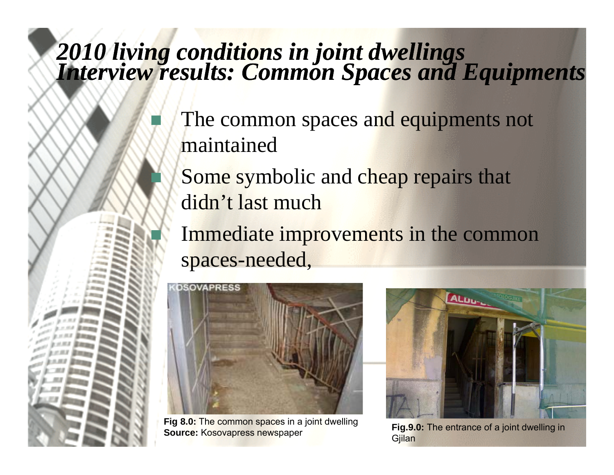# **The stage of common spaces and** *2010 living conditions in joint dwellings Interview results: Common Spaces and Equipments*

- **equipments** The common spaces and equipments not maintained
	- Some symbolic and cheap repairs that didn't last much
	- Immediate improvements in the common spaces-needed,



T

**Fig 8.0:** The common spaces in a joint dwelling **Source: Kosovapress newspaper** 



Fig.9.0: The entrance of a joint dwelling in Gjilan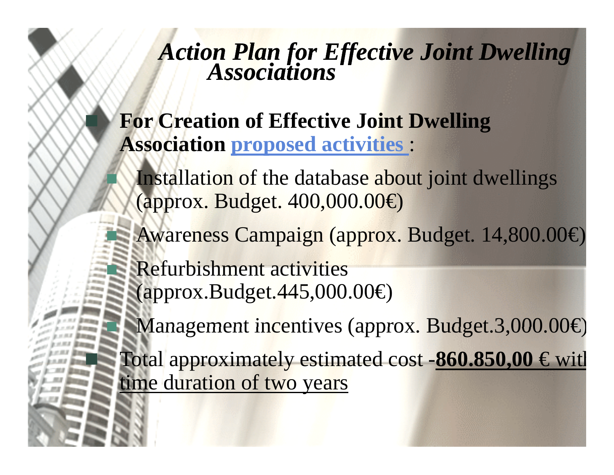# **Action Plan for Effective Joint Dwelling** *Associations*

**equipments For Creation of Effective Joint Dwelling Association proposed activities proposed** :

> Installation of the database about joint dwellings (approx. Budget. 400,000.00€)

Awareness Campaign (approx. Budget. 14,800.00€)

 Refurbishment activities (approx.Budget.445,000.00€)

Ŧ

Ξ

■ Management incentives (approx. Budget.3,000.00€)

 Total approximately estimated cost -**860.850,00** € wit h time duration of two years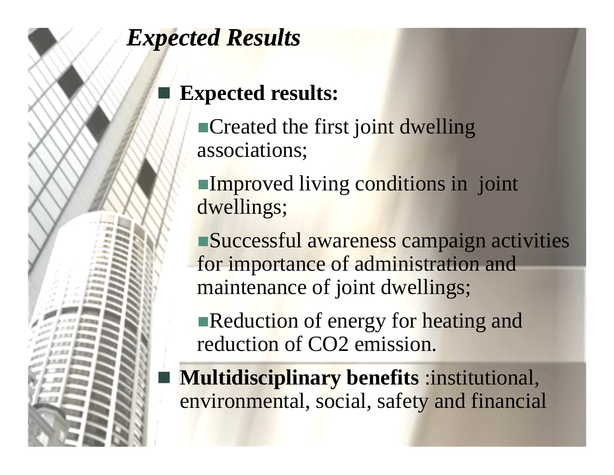#### **Expected Results**

#### **Expected result e d results:**

**Created the first joint dwelling** associations;

**Improved living conditions in joint** dwellings;

Successful awareness campaign activities for importance of administration and maintenance of joint dwellings;

 $\blacksquare$  Reduction of energy for heating and reduction of CO2 emission.

**• Multidisciplinary benefits :institutional,** environmental, social, safety and financial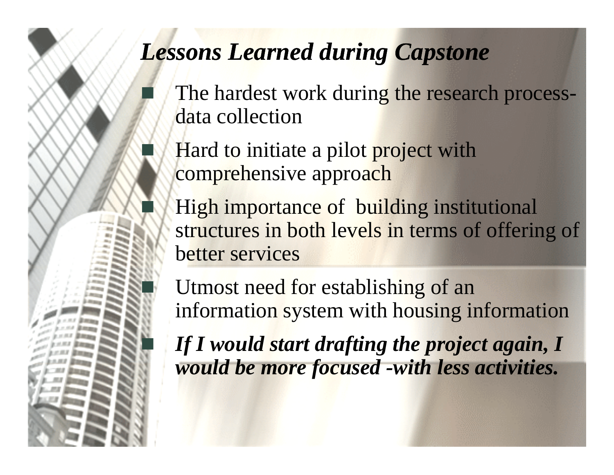#### **Lessons Learned during Capstone**

F

F.

p.

 $\mathbb{R}^2$ 

- The hardest work during the research processdata collection
	- $\blacksquare$  Hard to initiate a pilot project with comprehensive approach
		- High importance of building institutional structures in both levels in terms of offering of better services

 Utmost need for establishing of an information system with housing information

 *If I would start drafting the project again, I would be more focused -with less activities.*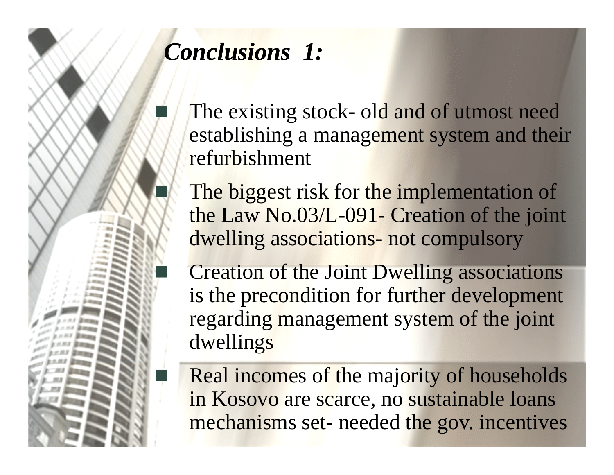

# *Conclusions 1:*

**extending Stock- old and of utmost need** establishing a management system and their refurbishment

> The biggest risk for the implementation of the Law No.03/L-091- Creation of the joint dwelling associations- not compulsory

**Execution of the Joint Dwelling associations** is the precondition for further development regarding management system of the joint dwellings

Real incomes of the majority of households in Kosovo are scarce, no sustainable loans mechanisms set- needed the gov. incentives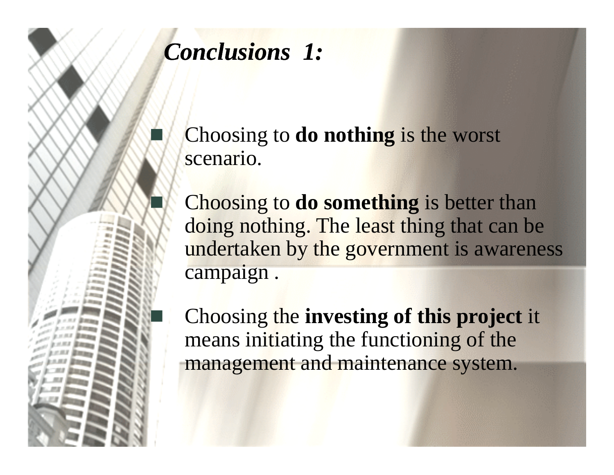

## *Conclusions 1:*

 Choosing to **do nothing** is the worst scenario.

Choosing to **do** something is better than doing nothing. The least thing that can be undertaken by the government is awareness campa ign .

 $\blacksquare$  Choosing the investing of this project it means initiating the functioning of the management and maintenance system.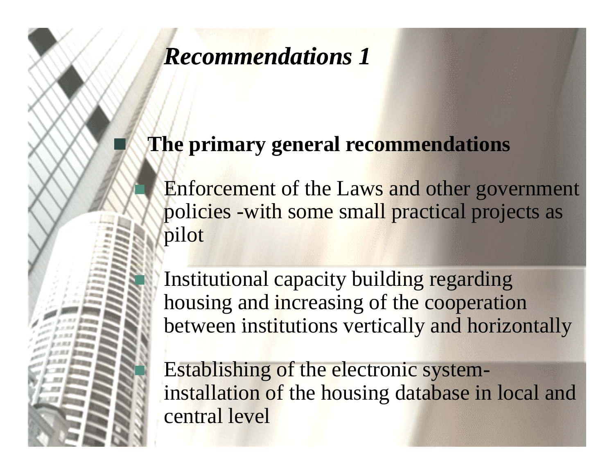#### **The stage of common spaces and** *Recommendations 1*

**equipments**

F

#### **The primary general recommendations**

 Enforcement of the Laws and other government policies -with some small practical projects as pilot

 Institutional capacity building regarding housing and increasing of the cooperation between institutions vertically and horizontally

 Establishing of the electronic systeminstallation of the housing database in local and central level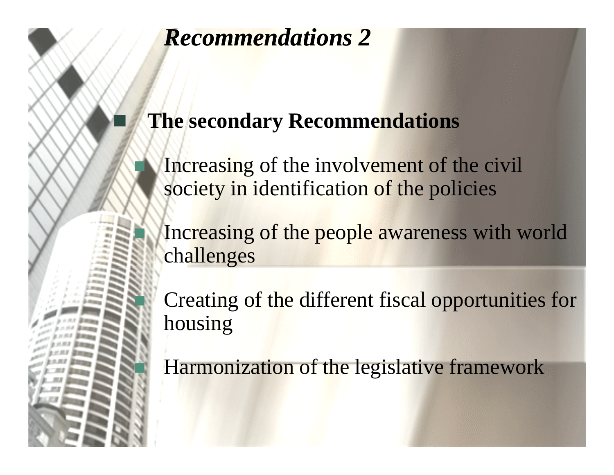#### *Recommendations 2*

Τ

#### **equipments The secondary Recommendations**

**The stage of common spaces and** 

Increasing of the involvement of the civil society in identification of the policies

Increasing of the people awareness with world challen ges

 Creating of the different fiscal opportunities for housing

Harmonization of the legislative framework